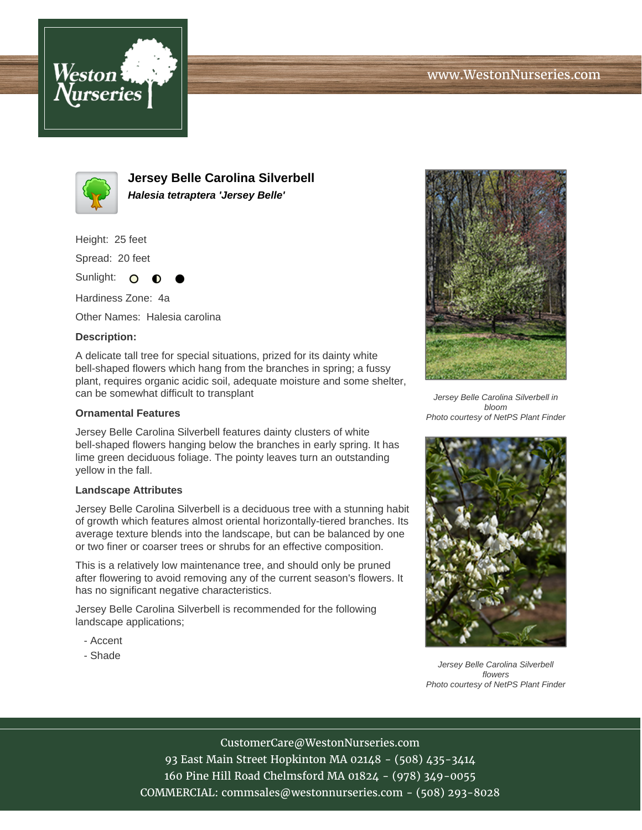



**Jersey Belle Carolina Silverbell Halesia tetraptera 'Jersey Belle'**

Height: 25 feet

Spread: 20 feet

Sunlight: O ∩

Hardiness Zone: 4a

Other Names: Halesia carolina

## **Description:**

A delicate tall tree for special situations, prized for its dainty white bell-shaped flowers which hang from the branches in spring; a fussy plant, requires organic acidic soil, adequate moisture and some shelter, can be somewhat difficult to transplant

## **Ornamental Features**

Jersey Belle Carolina Silverbell features dainty clusters of white bell-shaped flowers hanging below the branches in early spring. It has lime green deciduous foliage. The pointy leaves turn an outstanding yellow in the fall.

## **Landscape Attributes**

Jersey Belle Carolina Silverbell is a deciduous tree with a stunning habit of growth which features almost oriental horizontally-tiered branches. Its average texture blends into the landscape, but can be balanced by one or two finer or coarser trees or shrubs for an effective composition.

This is a relatively low maintenance tree, and should only be pruned after flowering to avoid removing any of the current season's flowers. It has no significant negative characteristics.

Jersey Belle Carolina Silverbell is recommended for the following landscape applications;

- Accent
- Shade



Jersey Belle Carolina Silverbell in bloom Photo courtesy of NetPS Plant Finder



Jersey Belle Carolina Silverbell flowers Photo courtesy of NetPS Plant Finder

CustomerCare@WestonNurseries.com 93 East Main Street Hopkinton MA 02148 - (508) 435-3414 160 Pine Hill Road Chelmsford MA 01824 - (978) 349-0055 COMMERCIAL: commsales@westonnurseries.com - (508) 293-8028